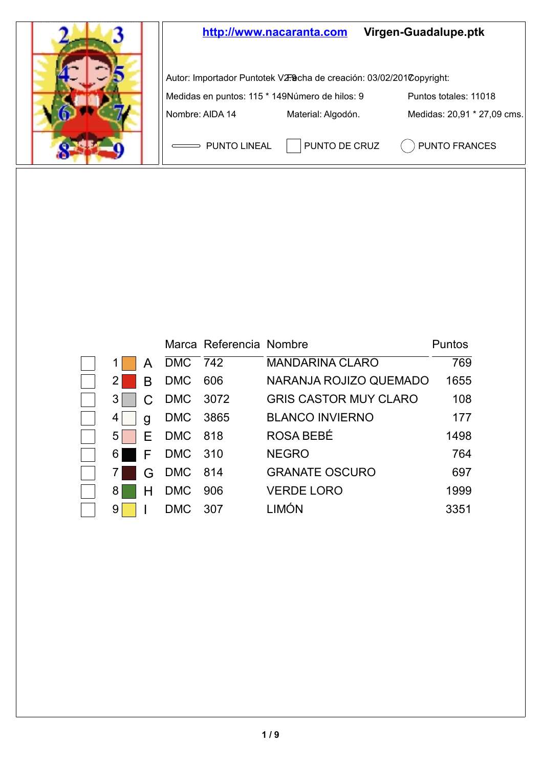

|                |   |            | Marca Referencia Nombre |                              | Puntos |
|----------------|---|------------|-------------------------|------------------------------|--------|
|                | А | DMC 742    |                         | <b>MANDARINA CLARO</b>       | 769    |
| $2 \mid$       | B | <b>DMC</b> | 606                     | NARANJA ROJIZO QUEMADO       | 1655   |
| $3 \mid$       |   | DMC 3072   |                         | <b>GRIS CASTOR MUY CLARO</b> | 108    |
| 4              | a | <b>DMC</b> | 3865                    | <b>BLANCO INVIERNO</b>       | 177    |
| 5 <sup>1</sup> | F | DMC        | 818                     | ROSA BEBÉ                    | 1498   |
| 6 I            | F | DMC 310    |                         | <b>NEGRO</b>                 | 764    |
|                | G | DMC        | 814                     | <b>GRANATE OSCURO</b>        | 697    |
| 8              |   | <b>DMC</b> | 906                     | <b>VERDE LORO</b>            | 1999   |
| 91             |   | DMC        | 307                     | LIMÓN                        | 3351   |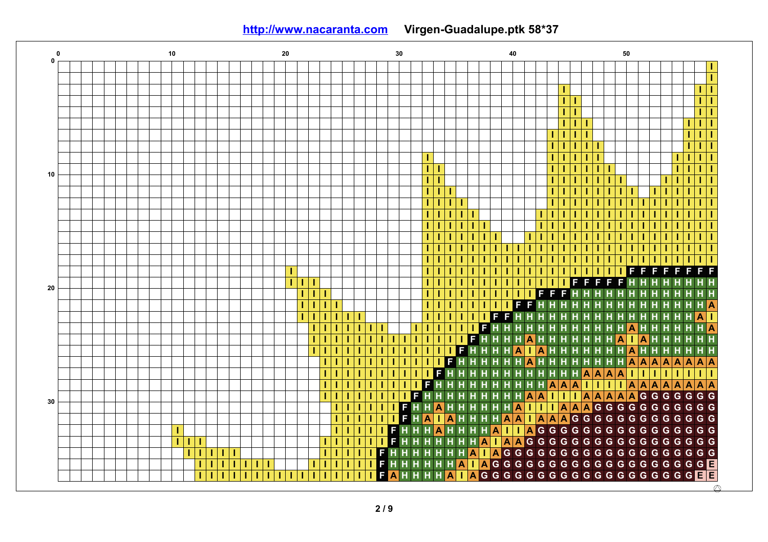**<http://www.nacaranta.com>Virgen-Guadalupe.ptk 58\*37**

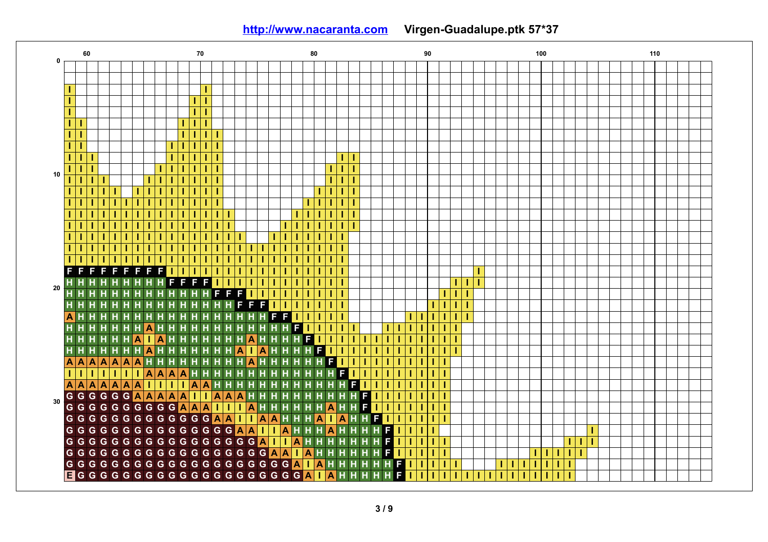**<http://www.nacaranta.com>Virgen-Guadalupe.ptk 57\*37**

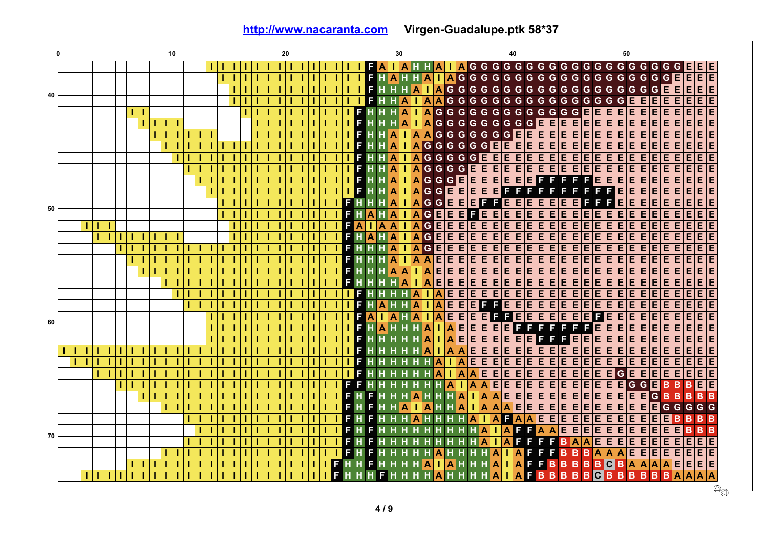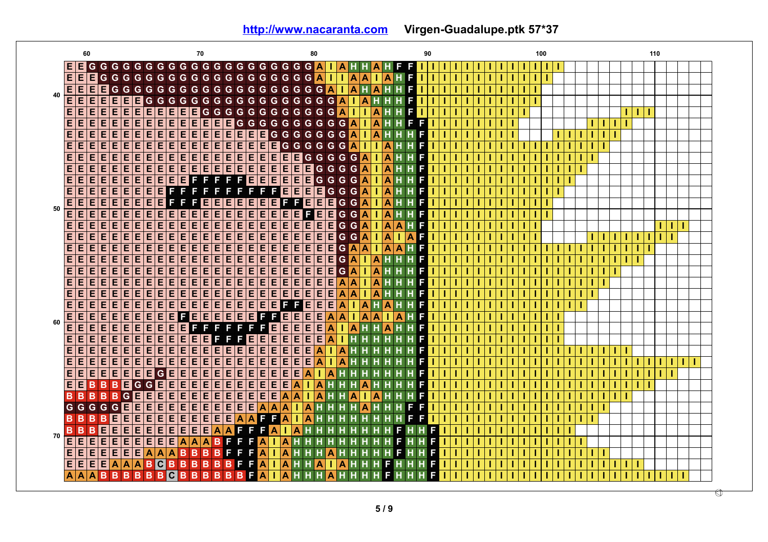**<http://www.nacaranta.com>Virgen-Guadalupe.ptk 57\*37**

| 60                                                                 | 70                                                                                                                                                              | 80                                                                                             | 90                                     | 100 | 110     |  |
|--------------------------------------------------------------------|-----------------------------------------------------------------------------------------------------------------------------------------------------------------|------------------------------------------------------------------------------------------------|----------------------------------------|-----|---------|--|
| E<br>Е                                                             |                                                                                                                                                                 |                                                                                                |                                        |     |         |  |
| Е<br>E<br>Е<br>G                                                   | G G G G G G G G G G G G G G G G G G A                                                                                                                           | A<br>A                                                                                         | F                                      |     |         |  |
| E<br>Е                                                             | G G G G G G G G G G G G G G G G G G <mark>A</mark>                                                                                                              | ۱A<br>A<br>H<br>¢                                                                              | F                                      |     |         |  |
| $rac{E}{E}$<br>$rac{E}{E}$<br>40<br>E<br>Е<br>E<br>E               | Е<br>G<br>G<br>G<br>G G                                                                                                                                         | GGGGGGGGGGG<br>A<br>G<br>A<br>н                                                                | F                                      |     |         |  |
| EE<br>E<br>ĪΕ<br>E<br>E<br>E                                       | EE<br>E E<br>E                                                                                                                                                  | G G G G G G G G G G G G A<br>A<br>т                                                            | F                                      |     | -1<br>H |  |
| Ε<br>Ε<br>Ε<br>E<br>E<br>E                                         | E<br>EE<br>$\overline{\mathsf{E} \mathsf{E}}$<br>百日<br><b>EE</b>                                                                                                | $G G G G G G G G G G$<br>A<br>$\mathbf{A}$<br>т.                                               | F<br>Е                                 |     | т<br>т  |  |
| Ε<br>E<br>Ε<br>E<br>E<br>E                                         | E<br>Ē<br>Έ<br>E E<br>EE<br>Ε<br>E<br>E<br>E                                                                                                                    | $\overline{\mathbf{A}}$<br>G G G G G G G<br>A<br>E<br>т.                                       | F                                      |     |         |  |
| E<br>E<br>Е<br>Е<br>E<br>E                                         | E<br>E E <br>E E E E<br> E E<br>E E                                                                                                                             | GGGGGA<br>E E <br>T                                                                            | A<br>F                                 |     |         |  |
| Е<br>E<br>Е<br>E<br>E<br>E                                         | E<br>E E <br>$\overline{E}$ e $\overline{E}$ e $\overline{E}$ e $\overline{E}$ e $\overline{E}$                                                                 | E E E E<br>G G G G G A<br>1                                                                    | A<br>F                                 |     |         |  |
| E<br>E<br>E<br>E<br>E<br>E                                         | E<br>E<br>E E<br>E<br>E<br>$E$ $E$<br>E<br>E<br>E                                                                                                               | A<br>E E E <br>E<br>$\blacksquare$ G G<br>G<br>G                                               | A<br>F                                 |     |         |  |
| E<br>E<br>E<br>E<br>E<br>E                                         | $\overline{E}$<br>E<br>E<br>FE<br>E<br>Е<br>F<br>Е<br>F<br>F                                                                                                    | E<br>E<br>A<br>E<br>E<br>Е<br>G<br>G<br>G<br>G                                                 | A<br>F                                 |     |         |  |
| $\overline{E}$<br>E<br>E<br>E<br>E<br>E                            | E<br>Ε<br>E<br>E<br>F<br>Е<br>F                                                                                                                                 | F<br>E E<br>E E <br>Ā<br>$\mathbf G$<br>G<br>F<br>G<br>т                                       | A<br>F                                 |     |         |  |
| $\overline{\mathsf{E}}\overline{\mathsf{E}}$<br>E<br>E<br>E<br>E   | E<br>EE<br>F<br> E E<br>Е<br>Е<br>Е<br>Е                                                                                                                        | Ē<br>F<br>EE<br> G<br>E E <br>A<br>F<br>G<br>1                                                 | н<br>A<br>F                            |     |         |  |
| $\frac{\overline{E}}{\overline{E}}$<br>50<br>E<br>E<br>E<br>E<br>E | Έ<br>Έ<br>E E<br>E<br>E<br>ΤΕ<br>E E <br>Е<br>E                                                                                                                 | 直<br>Ē<br>E E<br>E E <br>A<br>$ G $ $G $<br>1                                                  | A<br>н<br>F                            |     |         |  |
| Ε<br>Ε<br>Ε<br>Ε<br>Е<br>E                                         | Έ<br>Έ<br>Έ<br>Έ<br>Ε<br>Ε<br>E<br>Е<br>E<br>E<br>E                                                                                                             | Ε<br>E E<br>Ε<br>Ε<br>Ε<br>E<br>G<br>A<br>G<br>т                                               | A<br>A<br>F<br>н                       |     | т       |  |
| E<br>E<br>E<br>E<br>Е<br>E                                         | E<br>E<br>E<br>E E<br>E<br>E<br>E<br>E<br>E<br>Е                                                                                                                | E<br>E<br>E<br>E<br>A<br>E<br>G <sub>G</sub><br>E<br>E<br>т                                    | A<br>$\overline{\mathbf{A}}$<br>T<br>F |     |         |  |
| Ε<br>E<br>Ε<br>Е<br>E<br>E                                         | Ε<br>E<br>Ε<br> E E<br>E<br>E<br>E<br>E<br>E<br>E                                                                                                               | Ε<br>$\overline{E}$ $\overline{E}$<br>Ε<br>Е<br>E <br>A<br>E<br>G<br>A<br>1                    | A<br>A<br>F<br>н                       |     |         |  |
| E<br>E<br>E<br>Е<br>E<br>E                                         | E<br>E E<br>$\overline{\mathsf{E}}\overline{\mathsf{E}}$<br> E E<br>E<br>ΙE<br>Е<br>IE.                                                                         | G<br>E E <br>E E<br>E E <br>E<br>A<br>Α                                                        | F                                      |     |         |  |
| E<br>E<br>E<br>Ε<br>E<br>E                                         | E<br>Ε<br>E E<br>Ε<br>E<br>E<br>E<br>Ε<br>E<br>E                                                                                                                | $\mathsf G$<br>E<br>Ε<br>Ε<br>E<br>E<br>E<br>E<br>Ā<br>A                                       | F                                      |     |         |  |
| E<br>E<br>E<br>E<br>E<br>E                                         | $\overline{E}$<br>E<br>E<br> E E<br>E<br>E<br>E<br>E<br>E<br>E                                                                                                  | $E$ $E$<br>E<br>E<br>E<br>E<br>A<br>A<br>E<br>A                                                | F                                      |     |         |  |
| Ε<br>Ε<br>Ε<br>E<br>E<br>E                                         | $\overline{E}$<br>E<br>$E$ $E$<br>$\overline{\mathsf{E} \mathsf{E}}$<br>$\overline{\mathsf{E} \mathsf{E}}$<br>$\overline{\mathsf{E}}\overline{\mathsf{E}}$<br>E | $E$ $E$<br>$\overline{E}$ $\overline{E}$<br>E E<br>Ε<br>$\overline{\mathsf{A}}$<br>A<br>т<br>Α | F                                      |     |         |  |
| Ε<br>E E <br>E<br>E<br>E<br>E                                      | E E <br>$E$ e $E$<br>$E$ e e e e e e e                                                                                                                          | F<br>$\overline{\mathsf{E}}\vert \overline{\mathsf{E}}$<br>E<br>A<br>۱A<br>T<br>н              | F<br>A<br>н                            |     |         |  |
| E<br>Ε<br>E<br>E<br>E<br>E                                         | Ε<br>百日<br>E E<br>EE<br>$E$ $E$ $F$<br>E F                                                                                                                      | EE<br>Ε<br>Ε<br>A<br>E<br>A<br>$\overline{A}$<br>A<br>т                                        | A<br>F                                 |     |         |  |
| 60<br>$\overline{E}$<br>Ε<br>Ε<br>Е<br>E<br>E                      | $\overline{E}$<br>F<br>Ē<br>E<br>E<br>E<br>Е<br>Е<br>F<br>Е<br>F                                                                                                | Έ<br>百日<br>F<br>Ε<br>E<br>$\bullet$<br>T.<br>۱A<br>н                                           | F<br>A                                 |     |         |  |
| E<br>E<br>E<br>E<br>E<br>E                                         | E<br>E E <br>E<br>E E <br>E E<br>Е<br>F<br>Е                                                                                                                    | $E$ $E$<br>EE<br>E E <br>$\boldsymbol{\mathsf{A}}$<br>т<br>Н                                   | F                                      |     |         |  |
| E<br>E<br>E<br>E<br>E<br>E                                         | E<br>E<br>$\overline{\mathsf{E} \mathsf{E}}$<br>E E<br> E E <br> E                                                                                              | E E<br>E<br>E<br>$\overline{\mathbf{A}}$<br>E<br>A                                             | F                                      |     |         |  |
| $\overline{\mathsf{E} \mathsf{E}}$<br>E<br>Е<br>E<br>E<br>E        | 畱<br>E E <br>Ē<br>E<br>E<br>İΕ<br>E<br>E                                                                                                                        | E E<br>Ε<br>E<br>Е<br>A<br>A                                                                   | F                                      |     |         |  |
| E<br>E<br>E<br>$\blacksquare$<br>E<br>E                            | E<br>Ε<br>$\overline{\mathsf{G}}$<br>E<br>E<br>E<br>E<br>E<br>E<br>E<br>E                                                                                       | E<br>E<br>E<br>Е<br>A<br>A                                                                     | F                                      |     |         |  |
| Ε<br>E<br>Е<br>B<br>B<br>B                                         | E<br>E<br>E<br>E<br>E<br>G<br>E<br>E<br>E<br>E<br>$\vert G \vert$                                                                                               | Ε<br>E<br>Ä<br>Е<br>A                                                                          | F                                      |     |         |  |
| B<br> G <br>B<br>B<br>в<br>в                                       | E<br>$\overline{E}$<br>$\overline{\mathsf{E} \mathsf{E}}$<br>E E<br>$\overline{\mathsf{E} \mathsf{E}}$<br>E E<br>E                                              | E E<br>$\overline{A}$<br>A<br>A                                                                | F                                      |     |         |  |
| GEE<br>G <sub>G</sub><br>G G                                       | $\overline{\mathsf{E} \mathsf{E}}$<br>E E E E<br>$E$ $E$ $E$ $E$ $E$                                                                                            | $\blacktriangle$<br>A<br>A<br>A                                                                | F<br>F                                 |     |         |  |
| E<br>B<br>E<br>B<br>в<br>в                                         | E<br>百百<br>E E<br>E E<br>E<br>Ε<br>$\overline{A}$                                                                                                               | Α<br><b>AF</b><br>Е<br>A<br>A<br>н                                                             | F<br>Е<br>т                            |     |         |  |
| B<br>E                                                             | $\overline{\mathsf{E}}$<br>$\overline{\mathsf{E} \mathsf{E}}$<br>E E<br>F                                                                                       | A<br>F<br>A                                                                                    | F                                      |     |         |  |
| E<br>B<br>E<br>в<br>70<br>E<br>E<br>E                              | E E <br>A<br>$\overline{\mathbf{A}}$<br>F<br>E<br>$\overline{\mathsf{A}}$<br>¢<br>$\overline{A}$                                                                |                                                                                                | F<br>F                                 |     |         |  |
| Ε<br>E<br>E                                                        | $\overline{\mathsf{E}}\overline{\mathsf{E}}$<br>E<br>A<br>в                                                                                                     | A<br>Α                                                                                         | Π                                      |     |         |  |
| E<br>Е<br>E<br>Е<br>E<br>E                                         | E<br>A<br>B<br>A<br>F<br>A<br>в<br>в<br>в<br>F                                                                                                                  | A                                                                                              | F                                      |     |         |  |
| Е<br>A<br>E<br>E<br>E<br>$\overline{\mathsf{A}}$                   | $B$ <sub>C</sub><br>A<br>B<br>$\mathbf B$<br>B<br>в<br>в<br>F<br>в                                                                                              | A <br>A<br>н<br>A<br>Α                                                                         | F<br>F<br>Ε                            |     |         |  |
| B<br>A<br>B<br>A<br>в                                              | F<br>B<br>B<br>C.<br>B<br>B<br>B<br>B<br>в<br>B.<br>B                                                                                                           | A                                                                                              | F                                      |     |         |  |
|                                                                    |                                                                                                                                                                 |                                                                                                |                                        |     | ◐       |  |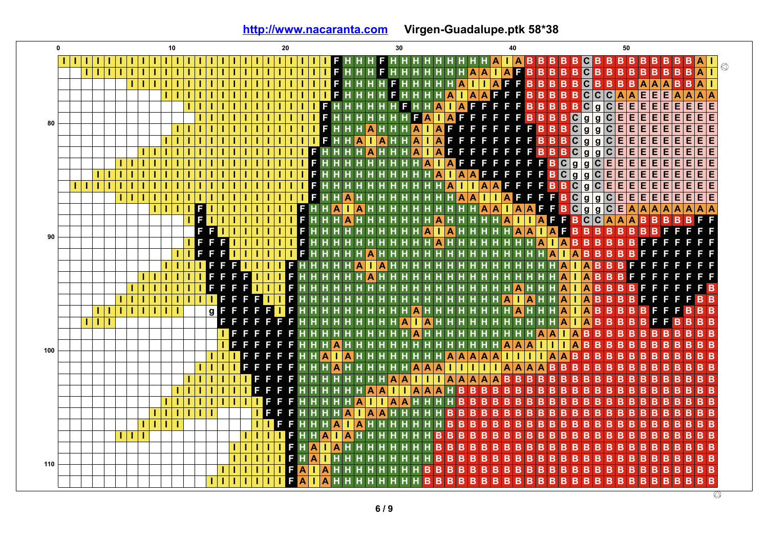**<http://www.nacaranta.com>Virgen-Guadalupe.ptk 58\*38**

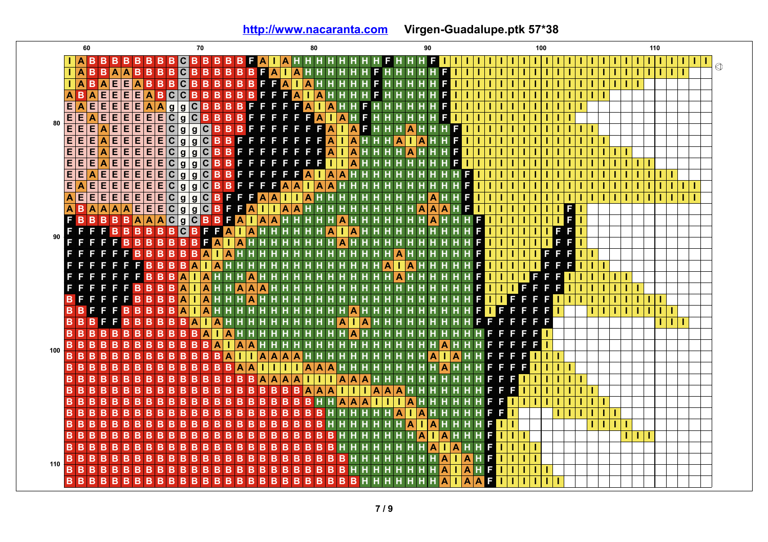**<http://www.nacaranta.com>Virgen-Guadalupe.ptk 57\*38**

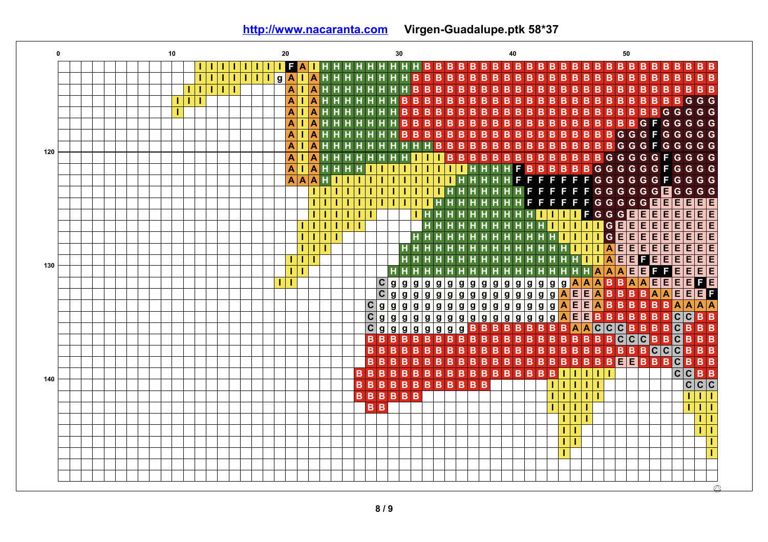**0 10 20 30 40 50 I H H B B B B I I I I I I I F A I H H H H H H H B B B B B B B B B B B B B B B B B B B B B B I I B B B B B B B B B B B I I I I I g A I A H H H H H H H H B B B B B B B B B B B B B B B B I I A B B B B B B B I I I I A H H H H H H H H B B B B B B B B B B B B B B B B B B B B I A B B B B B B B B B B B B B B B B B I I I A H H H H H H H B B B B B B B B G G G A B B B B I I A H H H H H H H B B B B B B B B B B B B B B B B B B B G G G G G A B B B B B B B B B B B I A H H H H H H H B B B B B B B B B B G F G G G G G A B B B B B B B B B B B G I A H H H H H H H B B B B B B B B G G F G G G G G A B B B B B B I A H H H H H H H H H H B B B B B B B B B B G G G F G G G G G 120 A B B B B B B B B G I A H H H H H H H H I I I B B B B B B G G G G G F G G G F B B B G G G G G A I A H H H H I I I I I I I I I H H H H B B B G G G F G G A A A H I I I I I I I I I I I H H H H H F F F F F F F G G G G G G F G G G G G I I I I I I I I I I I I H H H H H H H F F F F F F G G G G G G E G G G I E E I I I I I I I I I I H H H H H H H H F F F F F F G G G G G E E E E E E I I I I I I I H H H H H H H H H H I I I I F G G G E E E E E E E E E I I I I I I H H H H H H H H H H H I I I I I G E E E E E E E E E I I I I H H H H H H H H H H H H H I I I I G E E E E E E I I A E E E E E E E I H H H H H H H H H H H H H H H I I I E E I I I E E F E E E E E H H H H H H H H H H H H H H H H I I A E 130 E E E E E E I I H H H H H H H H H H H H H H H H H H A A A F F g g g g g g g g g g g g g g g A A A A E E E F E I I C g B B A E C g g g g g g g g g A E E A B B B B A E F g g g g g g A E E C g g g g g g g E E B B B B g g g g g g g g g A A B B A A A A C g g E E B B B C g g g g g g g g g g g g g g A B B B B C B B C g g B C**  $|c|$ **C B B B B C B B B g g g g g g B B B B B B B B A A C C C B B B B B B B B B B B B B C B B B B B B B B B B B B B B B B B B B B B B B B B B B B B B B B C B B B B B B B B B B C C B B B B B B B B B B B B B B B B B E C B B B B B E B B B B B B B B B B B B B B B B B I B B B B B B B I I I I C C B B 140 B B B B B B B B B B B B I I I I I C C C B B B B B B I I I I I I I I B B I I I I I I I I I I I I I I I I I I I I I**  $\oslash$